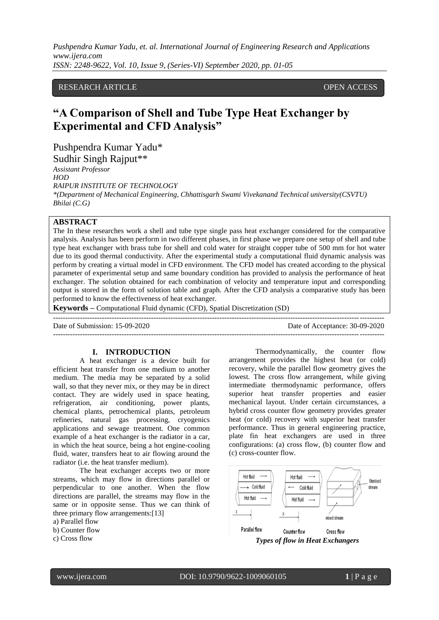*Pushpendra Kumar Yadu, et. al. International Journal of Engineering Research and Applications www.ijera.com ISSN: 2248-9622, Vol. 10, Issue 9, (Series-VI) September 2020, pp. 01-05*

# RESEARCH ARTICLE **CONSERVERS** OPEN ACCESS

# **"A Comparison of Shell and Tube Type Heat Exchanger by Experimental and CFD Analysis"**

Pushpendra Kumar Yadu\* Sudhir Singh Rajput\*\*

*Assistant Professor HOD RAIPUR INSTITUTE OF TECHNOLOGY \*(Department of Mechanical Engineering, Chhattisgarh Swami Vivekanand Technical university(CSVTU) Bhilai (C.G)*

# **ABSTRACT**

The In these researches work a shell and tube type single pass heat exchanger considered for the comparative analysis. Analysis has been perform in two different phases, in first phase we prepare one setup of shell and tube type heat exchanger with brass tube for shell and cold water for straight copper tube of 500 mm for hot water due to its good thermal conductivity. After the experimental study a computational fluid dynamic analysis was perform by creating a virtual model in CFD environment. The CFD model has created according to the physical parameter of experimental setup and same boundary condition has provided to analysis the performance of heat exchanger. The solution obtained for each combination of velocity and temperature input and corresponding output is stored in the form of solution table and graph. After the CFD analysis a comparative study has been performed to know the effectiveness of heat exchanger.

---------------------------------------------------------------------------------------------------------------------------------------

**Keywords –** Computational Fluid dynamic (CFD), Spatial Discretization (SD)

Date of Submission: 15-09-2020 Date of Acceptance: 30-09-2020

---------------------------------------------------------------------------------------------------------------------------------------

#### **I. INTRODUCTION**

A heat exchanger is a device built for efficient heat transfer from one medium to another medium. The media may be separated by a solid wall, so that they never mix, or they may be in direct contact. They are widely used in space heating, refrigeration, air conditioning, power plants, chemical plants, petrochemical plants, petroleum refineries, natural gas processing, cryogenics applications and sewage treatment. One common example of a heat exchanger is the radiator in a car, in which the heat source, being a hot engine-cooling fluid, water, transfers heat to air flowing around the radiator (i.e. the heat transfer medium).

The heat exchanger accepts two or more streams, which may flow in directions parallel or perpendicular to one another. When the flow directions are parallel, the streams may flow in the same or in opposite sense. Thus we can think of three primary flow arrangements:[13]

a) Parallel flow

b) Counter flow

c) Cross flow

Thermodynamically, the counter flow arrangement provides the highest heat (or cold) recovery, while the parallel flow geometry gives the lowest. The cross flow arrangement, while giving intermediate thermodynamic performance, offers superior heat transfer properties and easier mechanical layout. Under certain circumstances, a hybrid cross counter flow geometry provides greater heat (or cold) recovery with superior heat transfer performance. Thus in general engineering practice, plate fin heat exchangers are used in three configurations: (a) cross flow, (b) counter flow and (c) cross-counter flow.

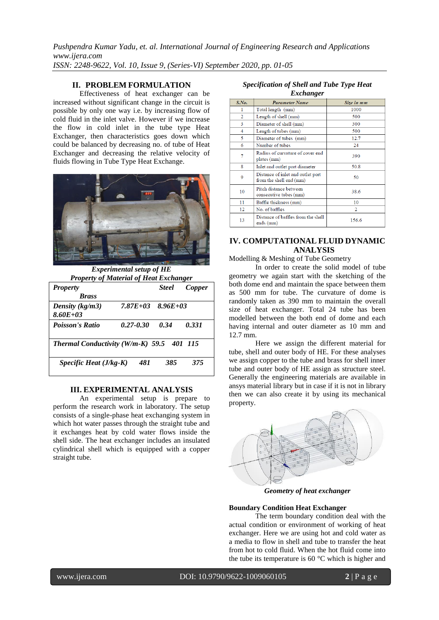*Pushpendra Kumar Yadu, et. al. International Journal of Engineering Research and Applications www.ijera.com ISSN: 2248-9622, Vol. 10, Issue 9, (Series-VI) September 2020, pp. 01-05*

# **II. PROBLEM FORMULATION**

Effectiveness of heat exchanger can be increased without significant change in the circuit is possible by only one way i.e. by increasing flow of cold fluid in the inlet valve. However if we increase the flow in cold inlet in the tube type Heat Exchanger, then characteristics goes down which could be balanced by decreasing no. of tube of Heat Exchanger and decreasing the relative velocity of fluids flowing in Tube Type Heat Exchange.



*Experimental setup of HE Property of Material of Heat Exchanger* 

| <b>Property</b>                          |               | <b>Steel</b>  | Copper  |
|------------------------------------------|---------------|---------------|---------|
| <b>Brass</b>                             |               |               |         |
| Density $(kg/m3)$                        | $7.87E + 0.3$ | $8.96E + 0.3$ |         |
| $8.60E + 0.3$                            |               |               |         |
| <b>Poisson's Ratio</b>                   | 0.27-0.30     | 0.34          | 0.331   |
|                                          |               |               |         |
| <b>Thermal Conductivity (W/m-K) 59.5</b> |               |               | 401 115 |
| Specific Heat $(J/kg-K)$                 | 481           | 385           | 375     |
|                                          |               |               |         |

#### **III. EXPERIMENTAL ANALYSIS**

An experimental setup is prepare to perform the research work in laboratory. The setup consists of a single-phase heat exchanging system in which hot water passes through the straight tube and it exchanges heat by cold water flows inside the shell side. The heat exchanger includes an insulated cylindrical shell which is equipped with a copper straight tube.

#### *Specification of Shell and Tube Type Heat Exchanger*

| ິ     |                                                              |                |  |  |  |
|-------|--------------------------------------------------------------|----------------|--|--|--|
| S.No. | <b>Parameter Name</b>                                        | Size in mm     |  |  |  |
| 1     | Total length (mm)                                            | 1000           |  |  |  |
| 2     | Length of shell (mm)                                         | 500            |  |  |  |
| 3     | Diameter of shell (mm)                                       | 300            |  |  |  |
| 4     | Length of tubes (mm)                                         | 500            |  |  |  |
| 5     | Diameter of tubes (mm)                                       | 12.7           |  |  |  |
| 6     | Number of tubes                                              | 24             |  |  |  |
| 7     | Radius of curvature of cover end<br>plates (mm)              | 390            |  |  |  |
| 8     | Inlet and outlet port diameter                               | 50.8           |  |  |  |
| 9     | Distance of inlet and outlet port<br>from the shell end (mm) | 50             |  |  |  |
| 10    | Pitch distance between<br>consecutive tubes (mm)             | 38.6           |  |  |  |
| 11    | Baffle thickness (mm)                                        | 10             |  |  |  |
| 12    | No. of baffles                                               | $\overline{2}$ |  |  |  |
| 13    | Distance of baffles from the shell<br>ends (mm)              | 156.6          |  |  |  |

# **IV. COMPUTATIONAL FLUID DYNAMIC ANALYSIS**

Modelling & Meshing of Tube Geometry

In order to create the solid model of tube geometry we again start with the sketching of the both dome end and maintain the space between them as 500 mm for tube. The curvature of dome is randomly taken as 390 mm to maintain the overall size of heat exchanger. Total 24 tube has been modelled between the both end of dome and each having internal and outer diameter as 10 mm and 12.7 mm.

Here we assign the different material for tube, shell and outer body of HE. For these analyses we assign copper to the tube and brass for shell inner tube and outer body of HE assign as structure steel. Generally the engineering materials are available in ansys material library but in case if it is not in library then we can also create it by using its mechanical property.



*Geometry of heat exchanger*

#### **Boundary Condition Heat Exchanger**

The term boundary condition deal with the actual condition or environment of working of heat exchanger. Here we are using hot and cold water as a media to flow in shell and tube to transfer the heat from hot to cold fluid. When the hot fluid come into the tube its temperature is 60 °C which is higher and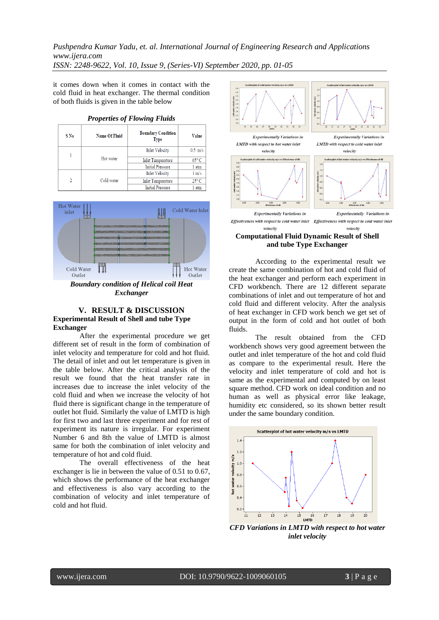*Pushpendra Kumar Yadu, et. al. International Journal of Engineering Research and Applications www.ijera.com ISSN: 2248-9622, Vol. 10, Issue 9, (Series-VI) September 2020, pp. 01-05*

it comes down when it comes in contact with the cold fluid in heat exchanger. The thermal condition of both fluids is given in the table below

| S No                         | <b>Name Of Fluid</b>    | <b>Boundary Condition</b><br><b>Type</b> | <b>Value</b>    |  |
|------------------------------|-------------------------|------------------------------------------|-----------------|--|
| Hot water                    |                         | <b>Inlet Velocity</b>                    | $0.5$ m/s       |  |
|                              |                         | <b>Inlet Temperature</b>                 | $65^{\circ}$ C  |  |
|                              | <b>Initial Pressure</b> | 1 atm                                    |                 |  |
| Cold water<br>$\mathfrak{D}$ |                         | <b>Inlet Velocity</b>                    | $1 \text{ m/s}$ |  |
|                              |                         | <b>Inlet Temperature</b>                 | $25^{\circ}$ C  |  |
|                              | <b>Initial Pressure</b> | 1 atm                                    |                 |  |





*Boundary condition of Helical coil Heat Exchanger*

### **V. RESULT & DISCUSSION Experimental Result of Shell and tube Type Exchanger**

After the experimental procedure we get different set of result in the form of combination of inlet velocity and temperature for cold and hot fluid. The detail of inlet and out let temperature is given in the table below. After the critical analysis of the result we found that the heat transfer rate in increases due to increase the inlet velocity of the cold fluid and when we increase the velocity of hot fluid there is significant change in the temperature of outlet hot fluid. Similarly the value of LMTD is high for first two and last three experiment and for rest of experiment its nature is irregular. For experiment Number 6 and 8th the value of LMTD is almost same for both the combination of inlet velocity and temperature of hot and cold fluid.

The overall effectiveness of the heat exchanger is lie in between the value of 0.51 to 0.67, which shows the performance of the heat exchanger and effectiveness is also vary according to the combination of velocity and inlet temperature of cold and hot fluid.



**and tube Type Exchanger**

According to the experimental result we create the same combination of hot and cold fluid of the heat exchanger and perform each experiment in CFD workbench. There are 12 different separate combinations of inlet and out temperature of hot and cold fluid and different velocity. After the analysis of heat exchanger in CFD work bench we get set of output in the form of cold and hot outlet of both fluids.

The result obtained from the CFD workbench shows very good agreement between the outlet and inlet temperature of the hot and cold fluid as compare to the experimental result. Here the velocity and inlet temperature of cold and hot is same as the experimental and computed by on least square method. CFD work on ideal condition and no human as well as physical error like leakage, humidity etc considered, so its shown better result under the same boundary condition.



*CFD Variations in LMTD with respect to hot water inlet velocity*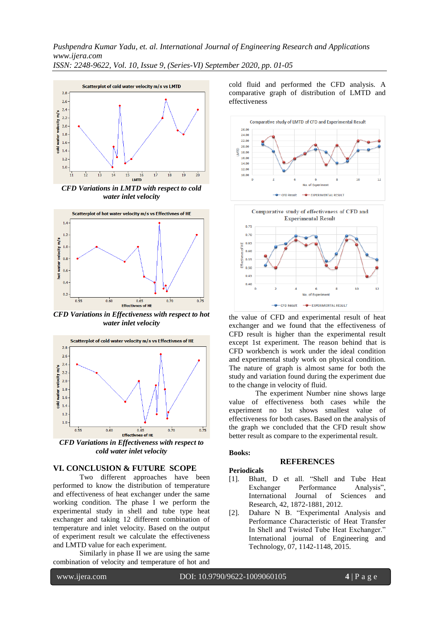*Pushpendra Kumar Yadu, et. al. International Journal of Engineering Research and Applications www.ijera.com*

*ISSN: 2248-9622, Vol. 10, Issue 9, (Series-VI) September 2020, pp. 01-05*



*CFD Variations in LMTD with respect to cold water inlet velocity* 



*CFD Variations in Effectiveness with respect to hot water inlet velocity* 



*CFD Variations in Effectiveness with respect to cold water inlet velocity* 

## **VI. CONCLUSION & FUTURE SCOPE**

Two different approaches have been performed to know the distribution of temperature and effectiveness of heat exchanger under the same working condition. The phase I we perform the experimental study in shell and tube type heat exchanger and taking 12 different combination of temperature and inlet velocity. Based on the output of experiment result we calculate the effectiveness and LMTD value for each experiment.

Similarly in phase II we are using the same combination of velocity and temperature of hot and cold fluid and performed the CFD analysis. A comparative graph of distribution of LMTD and effectiveness



the value of CFD and experimental result of heat exchanger and we found that the effectiveness of CFD result is higher than the experimental result except 1st experiment. The reason behind that is CFD workbench is work under the ideal condition and experimental study work on physical condition. The nature of graph is almost same for both the study and variation found during the experiment due to the change in velocity of fluid.

The experiment Number nine shows large value of effectiveness both cases while the experiment no 1st shows smallest value of effectiveness for both cases. Based on the analysis of the graph we concluded that the CFD result show better result as compare to the experimental result.

### **Books:**

### **REFERENCES**

### **Periodicals**

- [1]. Bhatt, D et all. "Shell and Tube Heat Exchanger Performance Analysis", International Journal of Sciences and Research, 42, 1872-1881, 2012.
- [2]. Dahare N B. "Experimental Analysis and Performance Characteristic of Heat Transfer In Shell and Twisted Tube Heat Exchanger." International journal of Engineering and Technology, 07, 1142-1148, 2015.